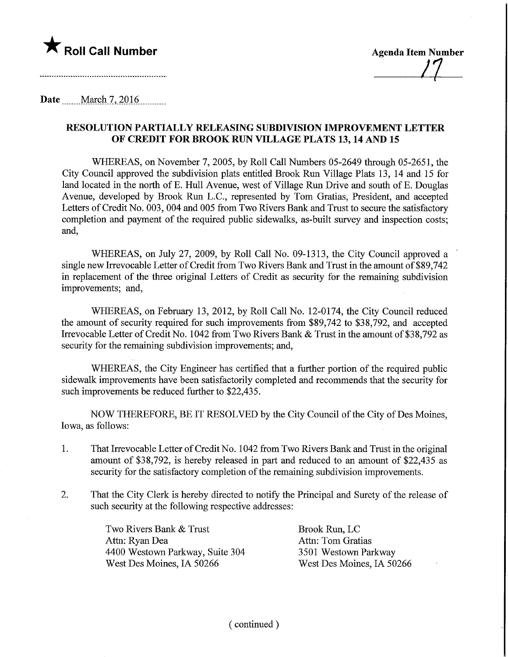

n-

Date <u>March 7, 2016</u>.

## RESOLUTION PARTIALLY RELEASING SUBDIVISION IMPROVEMENT LETTER OF CREDIT FOR BROOK RUN VILLAGE PLATS 13,14 AND 15

WHEREAS, on November 7, 2005, by Roll Call Numbers 05-2649 through 05-2651, the City Council approved the subdivision plats entitled Brook Run Village Plats 13, 14 and 15 for land located in the north of E. Hull Avenue, west of Village Run Drive and south of E. Douglas Avenue, developed by Brook Run L.C., represented by Tom Gratias, President, and accepted Letters of Credit No. 003, 004 and 005 from Two Rivers Bank and Trust to secure the satisfactory completion and payment of the required public sidewalks, as-built survey and inspection costs; and,

WHEREAS, on July 27, 2009, by Roll Call No. 09-1313, the City Council approved a single new Irrevocable Letter of Credit from Two Rivers Bank and Trust in the amount of \$89,742 in replacement of the three original Letters of Credit as security for the remaining subdivision improvements; and,

WHEREAS, on February 13, 2012, by Roll Call No. 12-0174, the City Council reduced the amount of security required for such improvements from \$89,742 to \$38,792, and accepted Irrevocable Letter of Credit No. 1042 from Two Rivers Bank & Trust in the amount of \$38,792 as security for the remaining subdivision improvements; and,

WHEREAS, the City Engineer has certified that a further portion of the required public sidewalk improvements have been satisfactorily completed and recommends that the security for such improvements be reduced further to \$22,435.

NOW THEREFORE, BE IT RESOLVED by the City Council of the City of Des Moines, Iowa, as follows:

- 1. That Irrevocable Letter of Credit No. 1042 from Two Rivers Bank and Trust in the original amount of \$38,792, is hereby released in part and reduced to an amount of \$22,435 as security for the satisfactory completion of the remaining subdivision improvements.
- 2. That the City Clerk is hereby directed to notify the Principal and Surety of the release of such security at the following respective addresses:

Two Rivers Bank & Trust Brook Run, LC Attn: Ryan Dea Attn: Tom Gratias 4400 Westown Parkway, Suite 304 3501 Westown Parkway West Des Moines, IA 50266 West Des Moines, IA 50266

(continued)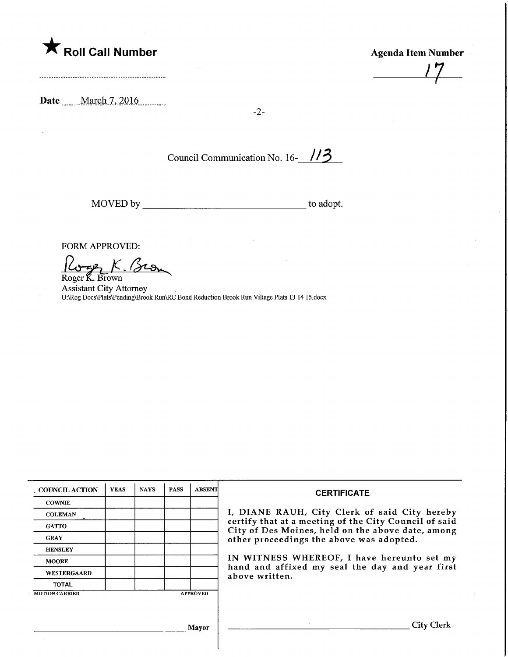

Agenda Item Number

Date <u>March 7, 2016</u>.

 $\bar{\bar{z}}$ 

-2-

Council Communication No. 16-113

MOVED by. to adopt.

FORM APPROVED:

59 K. Bron Roger K. Brown

Assistant City Attorney U:\Rog Docs\Plats\Pending\Brook Run\RC Bond Reduction Brook Run Village Plats 13 14 15.docx

| COUNCIL ACTION        | <b>YEAS</b> | <b>NAYS</b> | <b>PASS</b> | <b>ABSENT</b>   | <b>CERTIFICATE</b>                                                                                                                                                                                                                                                                                                         |
|-----------------------|-------------|-------------|-------------|-----------------|----------------------------------------------------------------------------------------------------------------------------------------------------------------------------------------------------------------------------------------------------------------------------------------------------------------------------|
| <b>COWNIE</b>         |             |             |             |                 |                                                                                                                                                                                                                                                                                                                            |
| <b>COLEMAN</b>        |             |             |             |                 | I, DIANE RAUH, City Clerk of said City hereby<br>certify that at a meeting of the City Council of said<br>City of Des Moines, held on the above date, among<br>other proceedings the above was adopted.<br>IN WITNESS WHEREOF, I have hereunto set my<br>hand and affixed my seal the day and year first<br>above written. |
| <b>GATTO</b>          |             |             |             |                 |                                                                                                                                                                                                                                                                                                                            |
| <b>GRAY</b>           |             |             |             |                 |                                                                                                                                                                                                                                                                                                                            |
| <b>HENSLEY</b>        |             |             |             |                 |                                                                                                                                                                                                                                                                                                                            |
| <b>MOORE</b>          |             |             |             |                 |                                                                                                                                                                                                                                                                                                                            |
| WESTERGAARD           |             |             |             |                 |                                                                                                                                                                                                                                                                                                                            |
| <b>TOTAL</b>          |             |             |             |                 |                                                                                                                                                                                                                                                                                                                            |
| <b>MOTION CARRIED</b> |             |             |             | <b>APPROVED</b> |                                                                                                                                                                                                                                                                                                                            |
|                       |             |             |             |                 |                                                                                                                                                                                                                                                                                                                            |
| Mayor                 |             |             |             |                 | <b>City Clerk</b>                                                                                                                                                                                                                                                                                                          |